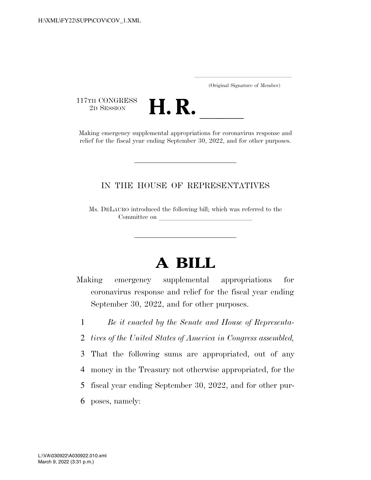..................................................................... (Original Signature of Member)

117TH CONGRESS<br>2D SESSION

2D SESSION **H. R. H. R.** Making emergency supplemental appropriations for coronavirus response and relief for the fiscal year ending September 30, 2022, and for other purposes.

## IN THE HOUSE OF REPRESENTATIVES

Ms. DELAURO introduced the following bill; which was referred to the Committee on

# **A BILL**

- Making emergency supplemental appropriations for coronavirus response and relief for the fiscal year ending September 30, 2022, and for other purposes.
	- 1 *Be it enacted by the Senate and House of Representa-*2 *tives of the United States of America in Congress assembled,*  3 That the following sums are appropriated, out of any 4 money in the Treasury not otherwise appropriated, for the 5 fiscal year ending September 30, 2022, and for other pur-
	- 6 poses, namely: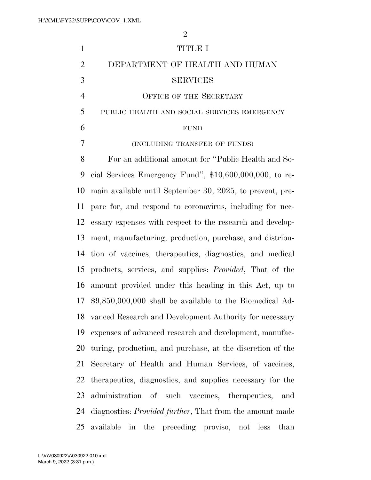| $\mathbf{1}$   | <b>TITLE I</b>                                                   |
|----------------|------------------------------------------------------------------|
| $\overline{2}$ | DEPARTMENT OF HEALTH AND HUMAN                                   |
| 3              | <b>SERVICES</b>                                                  |
| $\overline{4}$ | <b>OFFICE OF THE SECRETARY</b>                                   |
| 5              | PUBLIC HEALTH AND SOCIAL SERVICES EMERGENCY                      |
| 6              | <b>FUND</b>                                                      |
| 7              | (INCLUDING TRANSFER OF FUNDS)                                    |
| 8              | For an additional amount for "Public Health and So-              |
| 9              | cial Services Emergency Fund", $$10,600,000,000$ , to re-        |
| 10             | main available until September 30, 2025, to prevent, pre-        |
| 11             | pare for, and respond to coronavirus, including for nec-         |
| 12             | essary expenses with respect to the research and develop-        |
| 13             | ment, manufacturing, production, purchase, and distribu-         |
| 14             | tion of vaccines, therapeutics, diagnostics, and medical         |
| 15             | products, services, and supplies: <i>Provided</i> , That of the  |
| 16             | amount provided under this heading in this Act, up to            |
| 17             | $$9,850,000,000$ shall be available to the Biomedical Ad-        |
| 18             | vanced Research and Development Authority for necessary          |
| 19             | expenses of advanced research and development, manufac-          |
| 20             | turing, production, and purchase, at the discretion of the       |
| 21             | Secretary of Health and Human Services, of vaccines,             |
| 22             | therapeutics, diagnostics, and supplies necessary for the        |
| 23             | administration of such vaccines, therapeutics,<br>and            |
| 24             | diagnostics: <i>Provided further</i> , That from the amount made |
| 25             | available in<br>the preceding proviso, not less<br>than          |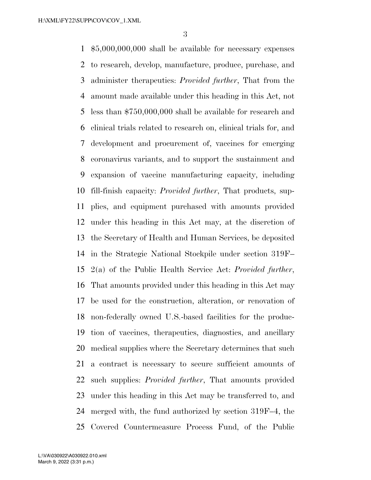\$5,000,000,000 shall be available for necessary expenses to research, develop, manufacture, produce, purchase, and administer therapeutics: *Provided further*, That from the amount made available under this heading in this Act, not less than \$750,000,000 shall be available for research and clinical trials related to research on, clinical trials for, and development and procurement of, vaccines for emerging coronavirus variants, and to support the sustainment and expansion of vaccine manufacturing capacity, including fill-finish capacity: *Provided further*, That products, sup- plies, and equipment purchased with amounts provided under this heading in this Act may, at the discretion of the Secretary of Health and Human Services, be deposited in the Strategic National Stockpile under section 319F– 2(a) of the Public Health Service Act: *Provided further*, That amounts provided under this heading in this Act may be used for the construction, alteration, or renovation of non-federally owned U.S.-based facilities for the produc- tion of vaccines, therapeutics, diagnostics, and ancillary medical supplies where the Secretary determines that such a contract is necessary to secure sufficient amounts of such supplies: *Provided further*, That amounts provided under this heading in this Act may be transferred to, and merged with, the fund authorized by section 319F–4, the Covered Countermeasure Process Fund, of the Public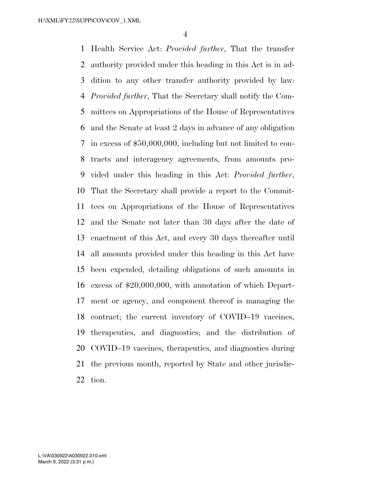Health Service Act: *Provided further*, That the transfer authority provided under this heading in this Act is in ad- dition to any other transfer authority provided by law: *Provided further*, That the Secretary shall notify the Com- mittees on Appropriations of the House of Representatives and the Senate at least 2 days in advance of any obligation in excess of \$50,000,000, including but not limited to con- tracts and interagency agreements, from amounts pro- vided under this heading in this Act: *Provided further*, That the Secretary shall provide a report to the Commit- tees on Appropriations of the House of Representatives and the Senate not later than 30 days after the date of enactment of this Act, and every 30 days thereafter until all amounts provided under this heading in this Act have been expended, detailing obligations of such amounts in excess of \$20,000,000, with annotation of which Depart- ment or agency, and component thereof is managing the contract; the current inventory of COVID–19 vaccines, therapeutics, and diagnostics; and the distribution of COVID–19 vaccines, therapeutics, and diagnostics during the previous month, reported by State and other jurisdic-tion.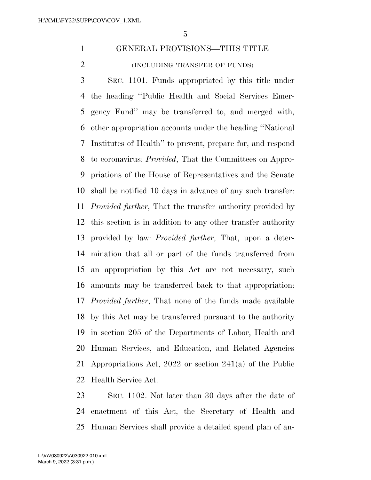# GENERAL PROVISIONS—THIS TITLE (INCLUDING TRANSFER OF FUNDS)

 SEC. 1101. Funds appropriated by this title under the heading ''Public Health and Social Services Emer- gency Fund'' may be transferred to, and merged with, other appropriation accounts under the heading ''National Institutes of Health'' to prevent, prepare for, and respond to coronavirus: *Provided*, That the Committees on Appro- priations of the House of Representatives and the Senate shall be notified 10 days in advance of any such transfer: *Provided further*, That the transfer authority provided by this section is in addition to any other transfer authority provided by law: *Provided further*, That, upon a deter- mination that all or part of the funds transferred from an appropriation by this Act are not necessary, such amounts may be transferred back to that appropriation: *Provided further*, That none of the funds made available by this Act may be transferred pursuant to the authority in section 205 of the Departments of Labor, Health and Human Services, and Education, and Related Agencies Appropriations Act, 2022 or section 241(a) of the Public Health Service Act.

 SEC. 1102. Not later than 30 days after the date of enactment of this Act, the Secretary of Health and Human Services shall provide a detailed spend plan of an-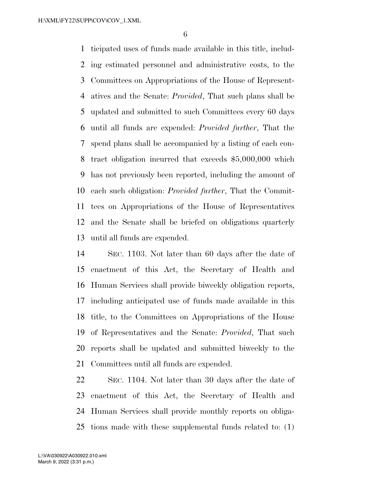ticipated uses of funds made available in this title, includ- ing estimated personnel and administrative costs, to the Committees on Appropriations of the House of Represent- atives and the Senate: *Provided*, That such plans shall be updated and submitted to such Committees every 60 days until all funds are expended: *Provided further*, That the spend plans shall be accompanied by a listing of each con- tract obligation incurred that exceeds \$5,000,000 which has not previously been reported, including the amount of each such obligation: *Provided further*, That the Commit- tees on Appropriations of the House of Representatives and the Senate shall be briefed on obligations quarterly until all funds are expended.

 SEC. 1103. Not later than 60 days after the date of enactment of this Act, the Secretary of Health and Human Services shall provide biweekly obligation reports, including anticipated use of funds made available in this title, to the Committees on Appropriations of the House of Representatives and the Senate: *Provided*, That such reports shall be updated and submitted biweekly to the Committees until all funds are expended.

 SEC. 1104. Not later than 30 days after the date of enactment of this Act, the Secretary of Health and Human Services shall provide monthly reports on obliga-tions made with these supplemental funds related to: (1)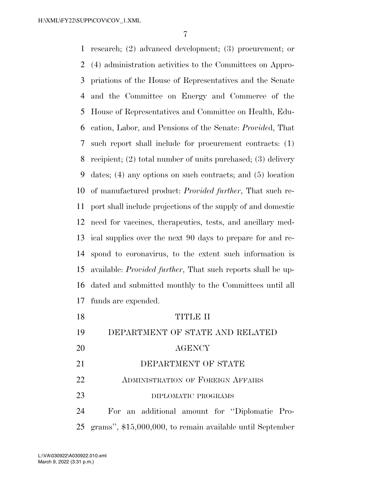research; (2) advanced development; (3) procurement; or (4) administration activities to the Committees on Appro- priations of the House of Representatives and the Senate and the Committee on Energy and Commerce of the House of Representatives and Committee on Health, Edu- cation, Labor, and Pensions of the Senate: *Provide*d, That such report shall include for procurement contracts: (1) recipient; (2) total number of units purchased; (3) delivery dates; (4) any options on such contracts; and (5) location of manufactured product: *Provided further*, That such re- port shall include projections of the supply of and domestic need for vaccines, therapeutics, tests, and ancillary med- ical supplies over the next 90 days to prepare for and re- spond to coronavirus, to the extent such information is available: *Provided further*, That such reports shall be up- dated and submitted monthly to the Committees until all funds are expended. TITLE II DEPARTMENT OF STATE AND RELATED AGENCY 21 DEPARTMENT OF STATE **ADMINISTRATION OF FOREIGN AFFAIRS** 23 DIPLOMATIC PROGRAMS

 For an additional amount for ''Diplomatic Pro-grams'', \$15,000,000, to remain available until September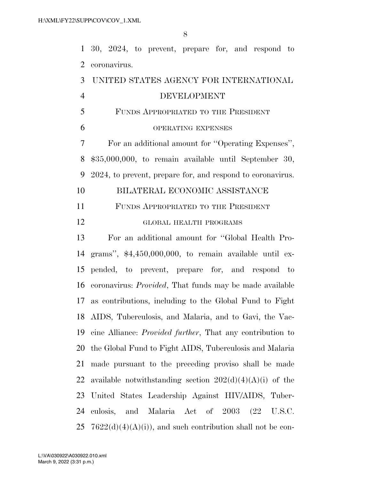30, 2024, to prevent, prepare for, and respond to coronavirus.

# UNITED STATES AGENCY FOR INTERNATIONAL DEVELOPMENT FUNDS APPROPRIATED TO THE PRESIDENT OPERATING EXPENSES For an additional amount for ''Operating Expenses'', \$35,000,000, to remain available until September 30, 2024, to prevent, prepare for, and respond to coronavirus. BILATERAL ECONOMIC ASSISTANCE FUNDS APPROPRIATED TO THE PRESIDENT GLOBAL HEALTH PROGRAMS For an additional amount for ''Global Health Pro- grams'', \$4,450,000,000, to remain available until ex- pended, to prevent, prepare for, and respond to coronavirus: *Provided*, That funds may be made available as contributions, including to the Global Fund to Fight AIDS, Tuberculosis, and Malaria, and to Gavi, the Vac- cine Alliance: *Provided further*, That any contribution to the Global Fund to Fight AIDS, Tuberculosis and Malaria made pursuant to the preceding proviso shall be made 22 available notwithstanding section  $202(d)(4)(A)(i)$  of the United States Leadership Against HIV/AIDS, Tuber- culosis, and Malaria Act of 2003 (22 U.S.C. 25  $7622(d)(4)(A)(i)$ , and such contribution shall not be con-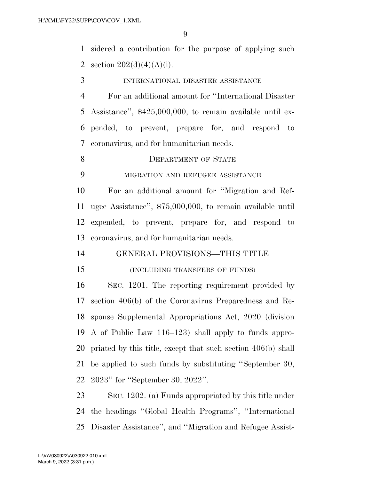sidered a contribution for the purpose of applying such 2 section  $202(d)(4)(A)(i)$ .

- INTERNATIONAL DISASTER ASSISTANCE
- For an additional amount for ''International Disaster Assistance'', \$425,000,000, to remain available until ex- pended, to prevent, prepare for, and respond to coronavirus, and for humanitarian needs.
- 8 DEPARTMENT OF STATE
- MIGRATION AND REFUGEE ASSISTANCE

 For an additional amount for ''Migration and Ref- ugee Assistance'', \$75,000,000, to remain available until expended, to prevent, prepare for, and respond to coronavirus, and for humanitarian needs.

- GENERAL PROVISIONS—THIS TITLE
- 

### (INCLUDING TRANSFERS OF FUNDS)

 SEC. 1201. The reporting requirement provided by section 406(b) of the Coronavirus Preparedness and Re- sponse Supplemental Appropriations Act, 2020 (division A of Public Law 116–123) shall apply to funds appro- priated by this title, except that such section 406(b) shall be applied to such funds by substituting ''September 30, 2023'' for ''September 30, 2022''.

 SEC. 1202. (a) Funds appropriated by this title under the headings ''Global Health Programs'', ''International Disaster Assistance'', and ''Migration and Refugee Assist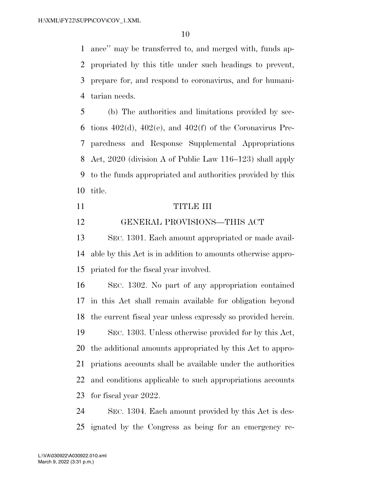ance'' may be transferred to, and merged with, funds ap- propriated by this title under such headings to prevent, prepare for, and respond to coronavirus, and for humani-tarian needs.

 (b) The authorities and limitations provided by sec-6 tions  $402(d)$ ,  $402(e)$ , and  $402(f)$  of the Coronavirus Pre- paredness and Response Supplemental Appropriations Act, 2020 (division A of Public Law 116–123) shall apply to the funds appropriated and authorities provided by this title.

#### TITLE III

### GENERAL PROVISIONS—THIS ACT

 SEC. 1301. Each amount appropriated or made avail- able by this Act is in addition to amounts otherwise appro-priated for the fiscal year involved.

 SEC. 1302. No part of any appropriation contained in this Act shall remain available for obligation beyond the current fiscal year unless expressly so provided herein. SEC. 1303. Unless otherwise provided for by this Act, the additional amounts appropriated by this Act to appro- priations accounts shall be available under the authorities and conditions applicable to such appropriations accounts

for fiscal year 2022.

 SEC. 1304. Each amount provided by this Act is des-ignated by the Congress as being for an emergency re-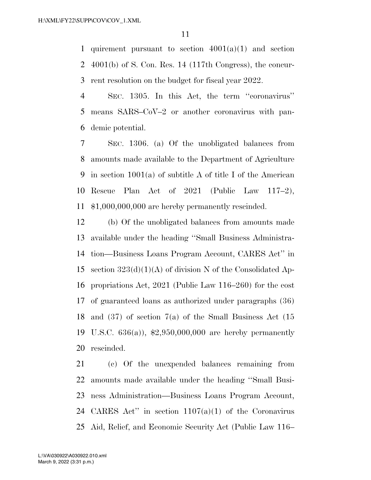1 quirement pursuant to section  $4001(a)(1)$  and section 4001(b) of S. Con. Res. 14 (117th Congress), the concur-rent resolution on the budget for fiscal year 2022.

 SEC. 1305. In this Act, the term ''coronavirus'' means SARS–CoV–2 or another coronavirus with pan-demic potential.

 SEC. 1306. (a) Of the unobligated balances from amounts made available to the Department of Agriculture in section 1001(a) of subtitle A of title I of the American Rescue Plan Act of 2021 (Public Law 117–2), \$1,000,000,000 are hereby permanently rescinded.

 (b) Of the unobligated balances from amounts made available under the heading ''Small Business Administra- tion—Business Loans Program Account, CARES Act'' in 15 section  $323(d)(1)(A)$  of division N of the Consolidated Ap- propriations Act, 2021 (Public Law 116–260) for the cost of guaranteed loans as authorized under paragraphs (36) and (37) of section 7(a) of the Small Business Act (15 U.S.C. 636(a)), \$2,950,000,000 are hereby permanently rescinded.

 (c) Of the unexpended balances remaining from amounts made available under the heading ''Small Busi- ness Administration—Business Loans Program Account, CARES Act'' in section 1107(a)(1) of the Coronavirus Aid, Relief, and Economic Security Act (Public Law 116–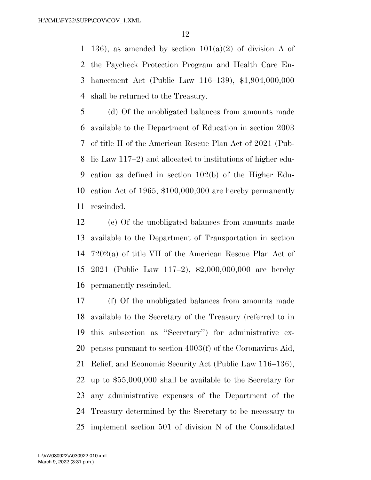1 136), as amended by section  $101(a)(2)$  of division A of the Paycheck Protection Program and Health Care En- hancement Act (Public Law 116–139), \$1,904,000,000 shall be returned to the Treasury.

 (d) Of the unobligated balances from amounts made available to the Department of Education in section 2003 of title II of the American Rescue Plan Act of 2021 (Pub- lic Law 117–2) and allocated to institutions of higher edu- cation as defined in section 102(b) of the Higher Edu- cation Act of 1965, \$100,000,000 are hereby permanently rescinded.

 (e) Of the unobligated balances from amounts made available to the Department of Transportation in section 7202(a) of title VII of the American Rescue Plan Act of 2021 (Public Law 117–2), \$2,000,000,000 are hereby permanently rescinded.

 (f) Of the unobligated balances from amounts made available to the Secretary of the Treasury (referred to in this subsection as ''Secretary'') for administrative ex- penses pursuant to section 4003(f) of the Coronavirus Aid, Relief, and Economic Security Act (Public Law 116–136), up to \$55,000,000 shall be available to the Secretary for any administrative expenses of the Department of the Treasury determined by the Secretary to be necessary to implement section 501 of division N of the Consolidated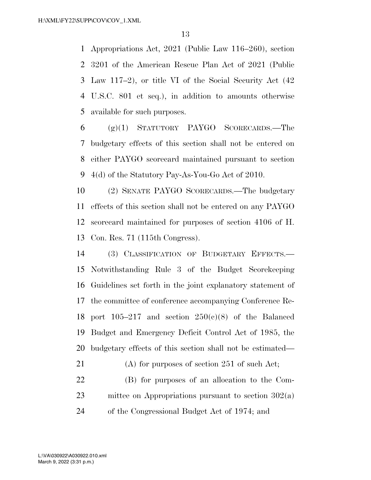Appropriations Act, 2021 (Public Law 116–260), section 3201 of the American Rescue Plan Act of 2021 (Public Law 117–2), or title VI of the Social Security Act (42 U.S.C. 801 et seq.), in addition to amounts otherwise available for such purposes.

 (g)(1) STATUTORY PAYGO SCORECARDS.—The budgetary effects of this section shall not be entered on either PAYGO scorecard maintained pursuant to section 4(d) of the Statutory Pay-As-You-Go Act of 2010.

 (2) SENATE PAYGO SCORECARDS.—The budgetary effects of this section shall not be entered on any PAYGO scorecard maintained for purposes of section 4106 of H. Con. Res. 71 (115th Congress).

 (3) CLASSIFICATION OF BUDGETARY EFFECTS.— Notwithstanding Rule 3 of the Budget Scorekeeping Guidelines set forth in the joint explanatory statement of the committee of conference accompanying Conference Re-18 port  $105-217$  and section  $250(e)(8)$  of the Balanced Budget and Emergency Deficit Control Act of 1985, the budgetary effects of this section shall not be estimated—

 (A) for purposes of section 251 of such Act; (B) for purposes of an allocation to the Com- mittee on Appropriations pursuant to section 302(a) of the Congressional Budget Act of 1974; and